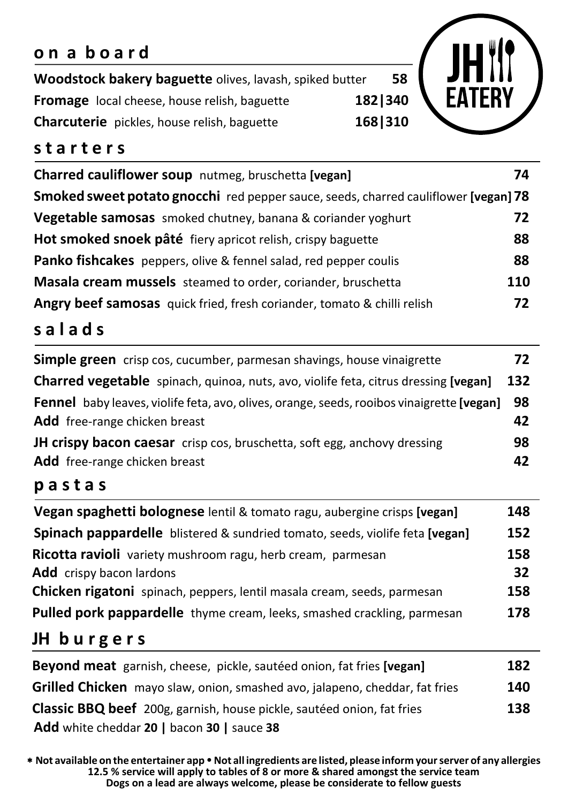# **o n a b o a r d**

**Woodstock bakery baguette** olives, lavash, spiked butter **58 Fromage** local cheese, house relish, baguette **182|340 Charcuterie** pickles, house relish, baguette **168|310**

### **s t a r t e r s**

| Charred cauliflower soup nutmeg, bruschetta [vegan]                                 | 74         |
|-------------------------------------------------------------------------------------|------------|
| Smoked sweet potato gnocchi red pepper sauce, seeds, charred cauliflower [vegan] 78 |            |
| Vegetable samosas smoked chutney, banana & coriander yoghurt                        | 72         |
| Hot smoked snoek pâté fiery apricot relish, crispy baguette                         | 88         |
| <b>Panko fishcakes</b> peppers, olive & fennel salad, red pepper coulis             | 88         |
| <b>Masala cream mussels</b> steamed to order, coriander, bruschetta                 | <b>110</b> |
| Angry beef samosas quick fried, fresh coriander, tomato & chilli relish             | 72         |

# **s a l a d s**

| <b>Simple green</b> crisp cos, cucumber, parmesan shavings, house vinaigrette                    | 72  |
|--------------------------------------------------------------------------------------------------|-----|
| <b>Charred vegetable</b> spinach, quinoa, nuts, avo, violife feta, citrus dressing [vegan]       | 132 |
| <b>Fennel</b> baby leaves, violife feta, avo, olives, orange, seeds, rooibos vinaigrette [vegan] | 98  |
| <b>Add</b> free-range chicken breast                                                             | 42  |
| <b>JH crispy bacon caesar</b> crisp cos, bruschetta, soft egg, anchovy dressing                  | 98  |
| <b>Add</b> free-range chicken breast                                                             | 42  |

#### **p a s t a s**

### **JH b u r g e r s**

| Beyond meat garnish, cheese, pickle, sautéed onion, fat fries [vegan]              | 182 |
|------------------------------------------------------------------------------------|-----|
| <b>Grilled Chicken</b> mayo slaw, onion, smashed avo, jalapeno, cheddar, fat fries | 140 |
| Classic BBQ beef 200g, garnish, house pickle, sautéed onion, fat fries             | 138 |
| <b>Add</b> white cheddar 20   bacon 30   sauce 38                                  |     |

\* Not available on the entertainer app . Not all ingredients are listed, please inform your server of any allergies **12.5 % service will apply to tables of 8 or more & shared amongst the service team Dogs on a lead are always welcome, please be considerate to fellow guests**